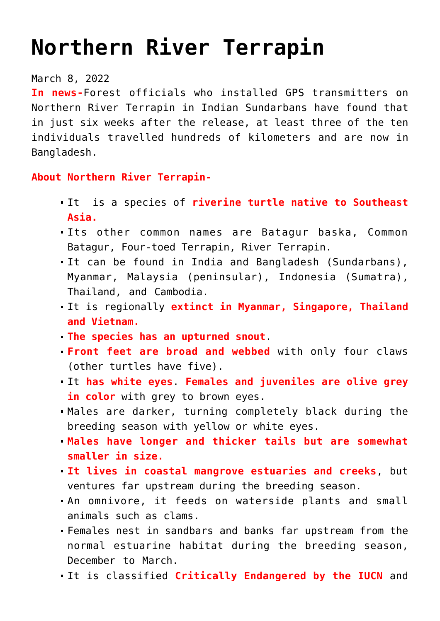## **[Northern River Terrapin](https://journalsofindia.com/northern-river-terrapin/)**

## March 8, 2022

**In news-**Forest officials who installed GPS transmitters on Northern River Terrapin in Indian Sundarbans have found that in just six weeks after the release, at least three of the ten individuals travelled hundreds of kilometers and are now in Bangladesh.

## **About Northern River Terrapin-**

- It is a species of **riverine turtle native to Southeast Asia.**
- Its other common names are Batagur baska, Common Batagur, Four-toed Terrapin, River Terrapin.
- It can be found in India and Bangladesh (Sundarbans), Myanmar, Malaysia (peninsular), Indonesia (Sumatra), Thailand, and Cambodia.
- It is regionally **extinct in Myanmar, Singapore, Thailand and Vietnam.**
- **The species has an upturned snout**.
- **Front feet are broad and webbed** with only four claws (other turtles have five).
- It **has white eyes**. **Females and juveniles are olive grey in color** with grey to brown eyes.
- Males are darker, turning completely black during the breeding season with yellow or white eyes.
- **Males have longer and thicker tails but are somewhat smaller in size.**
- **It lives in coastal mangrove estuaries and creeks**, but ventures far upstream during the breeding season.
- An omnivore, it feeds on waterside plants and small animals such as clams.
- Females nest in sandbars and banks far upstream from the normal estuarine habitat during the breeding season, December to March.
- It is classified **Critically Endangered by the IUCN** and